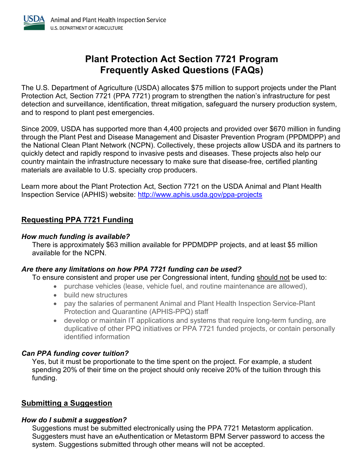

# Plant Protection Act Section 7721 Program Frequently Asked Questions (FAQs)

 The U.S. Department of Agriculture (USDA) allocates \$75 million to support projects under the Plant Protection Act, Section 7721 (PPA 7721) program to strengthen the nation's infrastructure for pest detection and surveillance, identification, threat mitigation, safeguard the nursery production system, and to respond to plant pest emergencies.

 Since 2009, USDA has supported more than 4,400 projects and provided over \$670 million in funding through the Plant Pest and Disease Management and Disaster Prevention Program (PPDMDPP) and the National Clean Plant Network (NCPN). Collectively, these projects allow USDA and its partners to quickly detect and rapidly respond to invasive pests and diseases. These projects also help our country maintain the infrastructure necessary to make sure that disease-free, certified planting materials are available to U.S. specialty crop producers.

 Learn more about the Plant Protection Act, Section 7721 on the USDA Animal and Plant Health Inspection Service (APHIS) website: <http://www.aphis.usda.gov/ppa-projects>

# Requesting PPA 7721 Funding

#### How much funding is available?

 There is approximately \$63 million available for PPDMDPP projects, and at least \$5 million available for the NCPN.

# Are there any limitations on how PPA 7721 funding can be used?

To ensure consistent and proper use per Congressional intent, funding should not be used to:

- purchase vehicles (lease, vehicle fuel, and routine maintenance are allowed),
- build new structures
- pay the salaries of permanent Animal and Plant Health Inspection Service-Plant Protection and Quarantine (APHIS-PPQ) staff
- develop or maintain IT applications and systems that require long-term funding, are duplicative of other PPQ initiatives or PPA 7721 funded projects, or contain personally identified information

# Can PPA funding cover tuition?

 Yes, but it must be proportionate to the time spent on the project. For example, a student spending 20% of their time on the project should only receive 20% of the tuition through this funding.

# Submitting a Suggestion

# How do I submit a suggestion?

 Suggestions must be submitted electronically using the PPA 7721 Metastorm application. Suggesters must have an eAuthentication or Metastorm BPM Server password to access the system. Suggestions submitted through other means will not be accepted.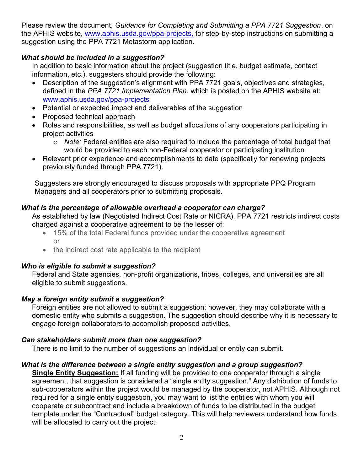Please review the document, Guidance for Completing and Submitting a PPA 7721 Suggestion, on the APHIS website, <u><www.aphis.usda.gov/ppa-projects>,</u> for step-by-step instructions on submitting a suggestion using the PPA 7721 Metastorm application.

# What should be included in a suggestion?

 In addition to basic information about the project (suggestion title, budget estimate, contact information, etc.), suggesters should provide the following:

- Description of the suggestion's alignment with PPA 7721 goals, objectives and strategies, defined in the PPA 7721 Implementation Plan, which is posted on the APHIS website at: <www.aphis.usda.gov/ppa-projects>
- Potential or expected impact and deliverables of the suggestion
- Proposed technical approach
- Roles and responsibilities, as well as budget allocations of any cooperators participating in project activities
	- $\circ$  Note: Federal entities are also required to include the percentage of total budget that would be provided to each non-Federal cooperator or participating institution
- Relevant prior experience and accomplishments to date (specifically for renewing projects previously funded through PPA 7721).

 Suggesters are strongly encouraged to discuss proposals with appropriate PPQ Program Managers and all cooperators prior to submitting proposals.

# What is the percentage of allowable overhead a cooperator can charge?

 As established by law (Negotiated Indirect Cost Rate or NICRA), PPA 7721 restricts indirect costs charged against a cooperative agreement to be the lesser of:

- 15% of the total Federal funds provided under the cooperative agreement or
- the indirect cost rate applicable to the recipient

# Who is eligible to submit a suggestion?

 Federal and State agencies, non-profit organizations, tribes, colleges, and universities are all eligible to submit suggestions.

# May a foreign entity submit a suggestion?

 Foreign entities are not allowed to submit a suggestion; however, they may collaborate with a domestic entity who submits a suggestion. The suggestion should describe why it is necessary to engage foreign collaborators to accomplish proposed activities.

# Can stakeholders submit more than one suggestion?

There is no limit to the number of suggestions an individual or entity can submit.

# What is the difference between a single entity suggestion and a group suggestion?

Single Entity Suggestion: If all funding will be provided to one cooperator through a single agreement, that suggestion is considered a "single entity suggestion." Any distribution of funds to sub-cooperators within the project would be managed by the cooperator, not APHIS. Although not required for a single entity suggestion, you may want to list the entities with whom you will cooperate or subcontract and include a breakdown of funds to be distributed in the budget template under the "Contractual" budget category. This will help reviewers understand how funds will be allocated to carry out the project.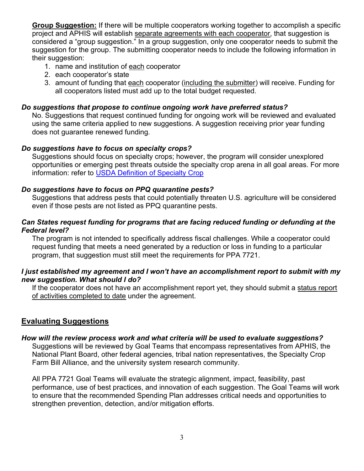Group Suggestion: If there will be multiple cooperators working together to accomplish a specific project and APHIS will establish separate agreements with each cooperator, that suggestion is considered a "group suggestion." In a group suggestion, only one cooperator needs to submit the suggestion for the group. The submitting cooperator needs to include the following information in their suggestion:

- 1. name and institution of each cooperator
- 2. each cooperator's state
- 3. amount of funding that each cooperator (including the submitter) will receive. Funding for all cooperators listed must add up to the total budget requested.

#### Do suggestions that propose to continue ongoing work have preferred status?

 No. Suggestions that request continued funding for ongoing work will be reviewed and evaluated using the same criteria applied to new suggestions. A suggestion receiving prior year funding does not guarantee renewed funding.

#### Do suggestions have to focus on specialty crops?

 Suggestions should focus on specialty crops; however, the program will consider unexplored opportunities or emerging pest threats outside the specialty crop arena in all goal areas. For more information: refer to USDA Definition of Specialty Crop

#### Do suggestions have to focus on PPQ quarantine pests?

 Suggestions that address pests that could potentially threaten U.S. agriculture will be considered even if those pests are not listed as PPQ quarantine pests.

#### Can States request funding for programs that are facing reduced funding or defunding at the Federal level?

 The program is not intended to specifically address fiscal challenges. While a cooperator could request funding that meets a need generated by a reduction or loss in funding to a particular program, that suggestion must still meet the requirements for PPA 7721.

#### I just established my agreement and I won't have an accomplishment report to submit with my new suggestion. What should I do?

If the cooperator does not have an accomplishment report yet, they should submit a status report of activities completed to date under the agreement.

# Evaluating Suggestions

# How will the review process work and what criteria will be used to evaluate suggestions?

 Suggestions will be reviewed by Goal Teams that encompass representatives from APHIS, the National Plant Board, other federal agencies, tribal nation representatives, the Specialty Crop Farm Bill Alliance, and the university system research community.

 All PPA 7721 Goal Teams will evaluate the strategic alignment, impact, feasibility, past performance, use of best practices, and innovation of each suggestion. The Goal Teams will work to ensure that the recommended Spending Plan addresses critical needs and opportunities to strengthen prevention, detection, and/or mitigation efforts.